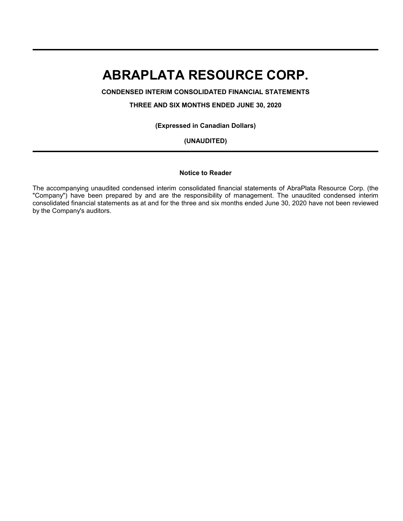**CONDENSED INTERIM CONSOLIDATED FINANCIAL STATEMENTS**

**THREE AND SIX MONTHS ENDED JUNE 30, 2020**

**(Expressed in Canadian Dollars)**

**(UNAUDITED)**

#### **Notice to Reader**

The accompanying unaudited condensed interim consolidated financial statements of AbraPlata Resource Corp. (the "Company") have been prepared by and are the responsibility of management. The unaudited condensed interim consolidated financial statements as at and for the three and six months ended June 30, 2020 have not been reviewed by the Company's auditors.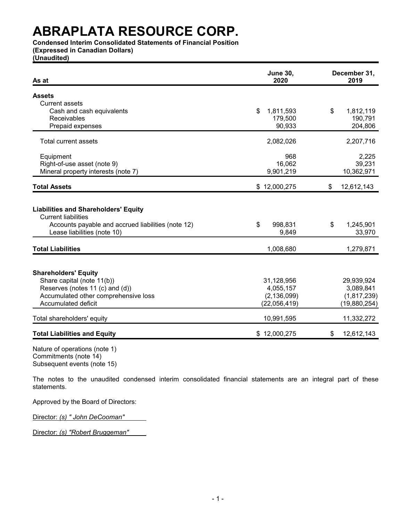**Condensed Interim Consolidated Statements of Financial Position**

**(Expressed in Canadian Dollars)**

**(Unaudited)**

| As at                                                                                                                                                          | <b>June 30,</b><br>2020                                  | December 31,<br>2019                                   |
|----------------------------------------------------------------------------------------------------------------------------------------------------------------|----------------------------------------------------------|--------------------------------------------------------|
| <b>Assets</b>                                                                                                                                                  |                                                          |                                                        |
| <b>Current assets</b>                                                                                                                                          |                                                          |                                                        |
| Cash and cash equivalents                                                                                                                                      | \$<br>1,811,593                                          | \$<br>1,812,119                                        |
| Receivables                                                                                                                                                    | 179,500                                                  | 190,791                                                |
| Prepaid expenses                                                                                                                                               | 90,933                                                   | 204,806                                                |
| Total current assets                                                                                                                                           | 2,082,026                                                | 2,207,716                                              |
| Equipment                                                                                                                                                      | 968                                                      | 2,225                                                  |
| Right-of-use asset (note 9)                                                                                                                                    | 16,062                                                   | 39,231                                                 |
| Mineral property interests (note 7)                                                                                                                            | 9,901,219                                                | 10,362,971                                             |
| <b>Total Assets</b>                                                                                                                                            | \$12,000,275                                             | \$<br>12,612,143                                       |
| <b>Liabilities and Shareholders' Equity</b><br><b>Current liabilities</b><br>Accounts payable and accrued liabilities (note 12)<br>Lease liabilities (note 10) | \$<br>998,831<br>9,849                                   | \$<br>1,245,901<br>33,970                              |
| <b>Total Liabilities</b>                                                                                                                                       | 1,008,680                                                | 1,279,871                                              |
| <b>Shareholders' Equity</b><br>Share capital (note 11(b))<br>Reserves (notes 11 (c) and (d))<br>Accumulated other comprehensive loss<br>Accumulated deficit    | 31,128,956<br>4,055,157<br>(2, 136, 099)<br>(22,056,419) | 29,939,924<br>3,089,841<br>(1,817,239)<br>(19,880,254) |
| Total shareholders' equity                                                                                                                                     | 10,991,595                                               | 11,332,272                                             |
| <b>Total Liabilities and Equity</b>                                                                                                                            | \$12,000,275                                             | \$<br>12,612,143                                       |

Nature of operations (note 1) Commitments (note 14) Subsequent events (note 15)

The notes to the unaudited condensed interim consolidated financial statements are an integral part of these statements.

Approved by the Board of Directors:

Director: *(s) " John DeCooman"*

Director: *(s) "Robert Bruggeman"*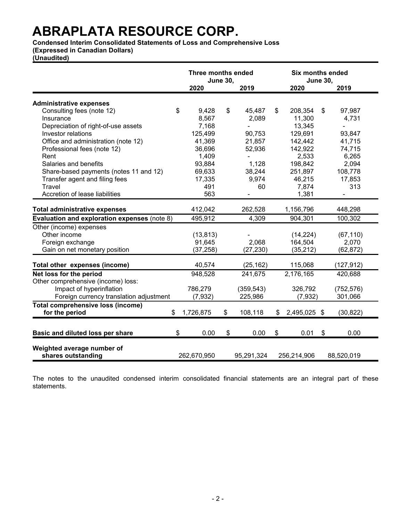**Condensed Interim Consolidated Statements of Loss and Comprehensive Loss** 

**(Expressed in Canadian Dollars)**

**(Unaudited)**

|                                              | Three months ended | <b>June 30,</b> |            | <b>Six months ended</b><br><b>June 30,</b> |                           |            |  |
|----------------------------------------------|--------------------|-----------------|------------|--------------------------------------------|---------------------------|------------|--|
|                                              | 2020               |                 | 2019       | 2020                                       |                           | 2019       |  |
| <b>Administrative expenses</b>               |                    |                 |            |                                            |                           |            |  |
| Consulting fees (note 12)                    | \$<br>9,428        | \$              | 45,487     | \$<br>208,354                              | \$                        | 97,987     |  |
| Insurance                                    | 8,567              |                 | 2,089      | 11,300                                     |                           | 4,731      |  |
| Depreciation of right-of-use assets          | 7,168              |                 |            | 13,345                                     |                           |            |  |
| Investor relations                           | 125,499            |                 | 90,753     | 129,691                                    |                           | 93,847     |  |
| Office and administration (note 12)          | 41,369             |                 | 21,857     | 142,442                                    |                           | 41,715     |  |
| Professional fees (note 12)                  | 36,696             |                 | 52,936     | 142,922                                    |                           | 74,715     |  |
| Rent                                         | 1,409              |                 |            | 2,533                                      |                           | 6,265      |  |
| Salaries and benefits                        | 93,884             |                 | 1,128      | 198,842                                    |                           | 2,094      |  |
| Share-based payments (notes 11 and 12)       | 69,633             |                 | 38,244     | 251,897                                    |                           | 108,778    |  |
| Transfer agent and filing fees               | 17,335             |                 | 9,974      | 46,215                                     |                           | 17,853     |  |
| Travel                                       | 491                |                 | 60         | 7,874                                      |                           | 313        |  |
| Accretion of lease liabilities               | 563                |                 |            | 1,381                                      |                           |            |  |
|                                              |                    |                 |            |                                            |                           |            |  |
| <b>Total administrative expenses</b>         | 412,042            |                 | 262,528    | 1,156,796                                  |                           | 448,298    |  |
| Evaluation and exploration expenses (note 8) | 495,912            |                 | 4,309      | 904,301                                    |                           | 100,302    |  |
| Other (income) expenses                      |                    |                 |            |                                            |                           |            |  |
| Other income                                 | (13, 813)          |                 |            | (14, 224)                                  |                           | (67, 110)  |  |
| Foreign exchange                             | 91,645             |                 | 2,068      | 164,504                                    |                           | 2,070      |  |
| Gain on net monetary position                | (37, 258)          |                 | (27, 230)  | (35, 212)                                  |                           | (62, 872)  |  |
|                                              |                    |                 |            |                                            |                           |            |  |
| Total other expenses (income)                | 40,574             |                 | (25, 162)  | 115,068                                    |                           | (127, 912) |  |
| Net loss for the period                      | 948,528            |                 | 241,675    | 2,176,165                                  |                           | 420,688    |  |
| Other comprehensive (income) loss:           |                    |                 |            |                                            |                           |            |  |
| Impact of hyperinflation                     | 786,279            |                 | (359, 543) | 326,792                                    |                           | (752, 576) |  |
| Foreign currency translation adjustment      | (7,932)            |                 | 225,986    | (7,932)                                    |                           | 301,066    |  |
| <b>Total comprehensive loss (income)</b>     |                    |                 |            |                                            |                           |            |  |
| for the period<br>\$                         | 1,726,875          | \$              | 108,118    | \$<br>2,495,025 \$                         |                           | (30, 822)  |  |
|                                              |                    |                 |            |                                            |                           |            |  |
| Basic and diluted loss per share             | \$<br>0.00         | \$              | 0.00       | \$<br>0.01                                 | $\boldsymbol{\mathsf{s}}$ | 0.00       |  |
|                                              |                    |                 |            |                                            |                           |            |  |
| Weighted average number of                   |                    |                 |            |                                            |                           |            |  |
| shares outstanding                           | 262,670,950        |                 | 95,291,324 | 256,214,906                                |                           | 88,520,019 |  |

The notes to the unaudited condensed interim consolidated financial statements are an integral part of these statements.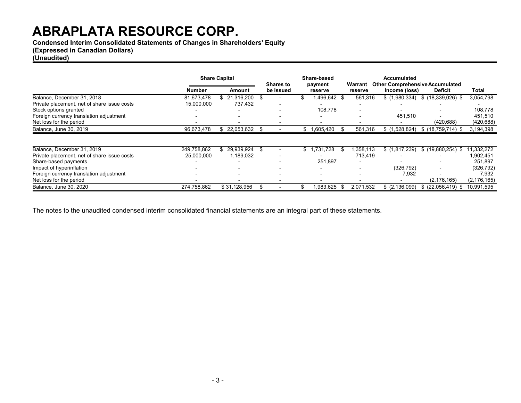**Condensed Interim Consolidated Statements of Changes in Shareholders' Equity**

### **(Expressed in Canadian Dollars)**

### **(Unaudited)**

|                                             | <b>Share Capital</b> |                          | Share-based<br><b>Shares to</b><br>payment |                            | Warrant   | <b>Accumulated</b> | <b>Other Comprehensive Accumulated</b> |               |  |
|---------------------------------------------|----------------------|--------------------------|--------------------------------------------|----------------------------|-----------|--------------------|----------------------------------------|---------------|--|
|                                             | <b>Number</b>        | Amount                   | be issued                                  | reserve                    | reserve   | Income (loss)      | <b>Deficit</b>                         | Total         |  |
| Balance, December 31, 2018                  | 81,673,478           | 21.316.200<br>S.         | -S                                         | 1,496,642 \$<br>\$         | 561,316   | \$(1,980,334)      | $$(18,339,026)$ \$                     | 3,054,798     |  |
| Private placement, net of share issue costs | 15,000,000           | 737,432                  |                                            |                            |           |                    |                                        |               |  |
| Stock options granted                       |                      |                          |                                            | 108,778                    |           |                    |                                        | 108,778       |  |
| Foreign currency translation adjustment     |                      |                          |                                            |                            |           | 451,510            |                                        | 451,510       |  |
| Net loss for the period                     |                      |                          |                                            |                            |           |                    | (420, 688)                             | (420, 688)    |  |
| Balance, June 30, 2019                      | 96,673,478           | 22,053,632<br>SS.        |                                            | \$1,605,420                | 561,316   | \$(1,528,824)      | $$(18,759,714)$ \$                     | 3,194,398     |  |
|                                             |                      |                          |                                            |                            |           |                    |                                        |               |  |
| Balance, December 31, 2019                  | 249,758,862          | 29.939.924 \$            |                                            | 1,731,728<br>$$^{\circ}$ 1 | .358.113  | \$(1,817,239)      | $$$ (19,880,254) \$                    | 1,332,272     |  |
| Private placement, net of share issue costs | 25.000.000           | 1,189,032                |                                            |                            | 713.419   |                    |                                        | 1,902,451     |  |
| Share-based payments                        |                      | $\overline{\phantom{0}}$ |                                            | 251,897                    |           |                    |                                        | 251,897       |  |
| Impact of hyperinflation                    |                      |                          |                                            |                            |           | (326, 792)         |                                        | (326, 792)    |  |
| Foreign currency translation adjustment     |                      | $\overline{\phantom{0}}$ |                                            | $\overline{\phantom{0}}$   |           | 7,932              |                                        | 7,932         |  |
| Net loss for the period                     |                      |                          |                                            |                            |           |                    | (2, 176, 165)                          | (2, 176, 165) |  |
| Balance, June 30, 2020                      | 274.758.862          | \$31.128.956             |                                            | 1.983.625                  | 2,071,532 | \$ (2,136,099)     | $$$ (22.056.419) \$                    | 10.991.595    |  |

The notes to the unaudited condensed interim consolidated financial statements are an integral part of these statements.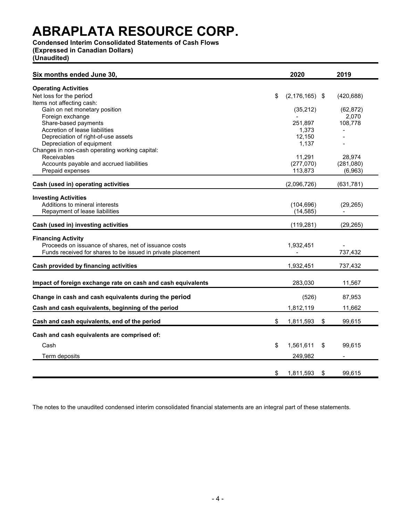**Condensed Interim Consolidated Statements of Cash Flows**

**(Expressed in Canadian Dollars)**

**(Unaudited)**

| Six months ended June 30,                                    | 2020                     | 2019               |
|--------------------------------------------------------------|--------------------------|--------------------|
| <b>Operating Activities</b>                                  |                          |                    |
| Net loss for the period                                      | \$<br>$(2, 176, 165)$ \$ | (420, 688)         |
| Items not affecting cash:                                    |                          |                    |
| Gain on net monetary position<br>Foreign exchange            | (35, 212)                | (62, 872)<br>2,070 |
| Share-based payments                                         | 251,897                  | 108,778            |
| Accretion of lease liabilities                               | 1,373                    |                    |
| Depreciation of right-of-use assets                          | 12,150                   |                    |
| Depreciation of equipment                                    | 1,137                    |                    |
| Changes in non-cash operating working capital:               |                          |                    |
| <b>Receivables</b>                                           | 11,291                   | 28,974             |
| Accounts payable and accrued liabilities                     | (277,070)                | (281,080)          |
| Prepaid expenses                                             | 113,873                  | (6,963)            |
| Cash (used in) operating activities                          | (2,096,726)              | (631, 781)         |
| <b>Investing Activities</b>                                  |                          |                    |
| Additions to mineral interests                               | (104, 696)               | (29, 265)          |
| Repayment of lease liabilities                               | (14, 585)                |                    |
|                                                              |                          |                    |
| Cash (used in) investing activities                          | (119, 281)               | (29, 265)          |
| <b>Financing Activity</b>                                    |                          |                    |
| Proceeds on issuance of shares, net of issuance costs        | 1,932,451                |                    |
| Funds received for shares to be issued in private placement  |                          | 737,432            |
| Cash provided by financing activities                        | 1,932,451                | 737,432            |
|                                                              |                          |                    |
| Impact of foreign exchange rate on cash and cash equivalents | 283,030                  | 11,567             |
| Change in cash and cash equivalents during the period        | (526)                    | 87,953             |
|                                                              |                          |                    |
| Cash and cash equivalents, beginning of the period           | 1,812,119                | 11,662             |
| Cash and cash equivalents, end of the period                 | \$<br>1,811,593          | \$<br>99,615       |
| Cash and cash equivalents are comprised of:                  |                          |                    |
| Cash                                                         | \$<br>1,561,611          | \$<br>99,615       |
|                                                              |                          |                    |
| Term deposits                                                | 249,982                  |                    |
|                                                              |                          |                    |
|                                                              | \$<br>1,811,593          | \$<br>99.615       |

The notes to the unaudited condensed interim consolidated financial statements are an integral part of these statements.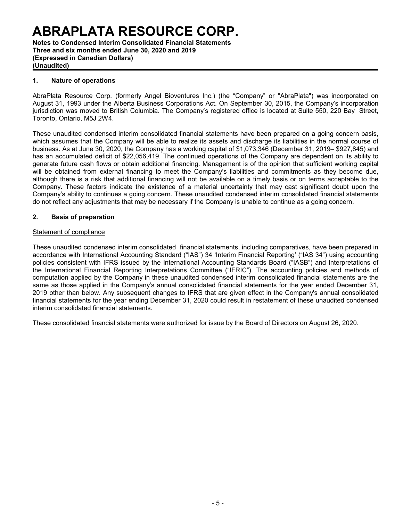**Notes to Condensed Interim Consolidated Financial Statements Three and six months ended June 30, 2020 and 2019 (Expressed in Canadian Dollars) (Unaudited)**

### **1. Nature of operations**

AbraPlata Resource Corp. (formerly Angel Bioventures Inc.) (the "Company" or "AbraPlata") was incorporated on August 31, 1993 under the Alberta Business Corporations Act. On September 30, 2015, the Company's incorporation jurisdiction was moved to British Columbia. The Company's registered office is located at Suite 550, 220 Bay Street, Toronto, Ontario, M5J 2W4.

These unaudited condensed interim consolidated financial statements have been prepared on a going concern basis, which assumes that the Company will be able to realize its assets and discharge its liabilities in the normal course of business. As at June 30, 2020, the Company has a working capital of \$1,073,346 (December 31, 2019– \$927,845) and has an accumulated deficit of \$22,056,419. The continued operations of the Company are dependent on its ability to generate future cash flows or obtain additional financing. Management is of the opinion that sufficient working capital will be obtained from external financing to meet the Company's liabilities and commitments as they become due, although there is a risk that additional financing will not be available on a timely basis or on terms acceptable to the Company. These factors indicate the existence of a material uncertainty that may cast significant doubt upon the Company's ability to continues a going concern. These unaudited condensed interim consolidated financial statements do not reflect any adjustments that may be necessary if the Company is unable to continue as a going concern.

### **2. Basis of preparation**

### Statement of compliance

These unaudited condensed interim consolidated financial statements, including comparatives, have been prepared in accordance with International Accounting Standard ("IAS") 34 'Interim Financial Reporting' ("IAS 34") using accounting policies consistent with IFRS issued by the International Accounting Standards Board ("IASB") and Interpretations of the International Financial Reporting Interpretations Committee ("IFRIC"). The accounting policies and methods of computation applied by the Company in these unaudited condensed interim consolidated financial statements are the same as those applied in the Company's annual consolidated financial statements for the year ended December 31, 2019 other than below. Any subsequent changes to IFRS that are given effect in the Company's annual consolidated financial statements for the year ending December 31, 2020 could result in restatement of these unaudited condensed interim consolidated financial statements.

These consolidated financial statements were authorized for issue by the Board of Directors on August 26, 2020.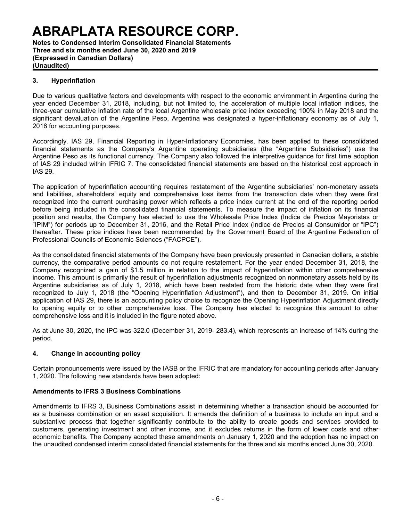**Notes to Condensed Interim Consolidated Financial Statements Three and six months ended June 30, 2020 and 2019 (Expressed in Canadian Dollars) (Unaudited)**

### **3. Hyperinflation**

Due to various qualitative factors and developments with respect to the economic environment in Argentina during the year ended December 31, 2018, including, but not limited to, the acceleration of multiple local inflation indices, the three-year cumulative inflation rate of the local Argentine wholesale price index exceeding 100% in May 2018 and the significant devaluation of the Argentine Peso, Argentina was designated a hyper-inflationary economy as of July 1, 2018 for accounting purposes.

Accordingly, IAS 29, Financial Reporting in Hyper-Inflationary Economies, has been applied to these consolidated financial statements as the Company's Argentine operating subsidiaries (the "Argentine Subsidiaries") use the Argentine Peso as its functional currency. The Company also followed the interpretive guidance for first time adoption of IAS 29 included within IFRIC 7. The consolidated financial statements are based on the historical cost approach in IAS 29.

The application of hyperinflation accounting requires restatement of the Argentine subsidiaries' non-monetary assets and liabilities, shareholders' equity and comprehensive loss items from the transaction date when they were first recognized into the current purchasing power which reflects a price index current at the end of the reporting period before being included in the consolidated financial statements. To measure the impact of inflation on its financial position and results, the Company has elected to use the Wholesale Price Index (Indice de Precios Mayoristas or "IPIM") for periods up to December 31, 2016, and the Retail Price Index (Indice de Precios al Consumidor or "IPC") thereafter. These price indices have been recommended by the Government Board of the Argentine Federation of Professional Councils of Economic Sciences ("FACPCE").

As the consolidated financial statements of the Company have been previously presented in Canadian dollars, a stable currency, the comparative period amounts do not require restatement. For the year ended December 31, 2018, the Company recognized a gain of \$1.5 million in relation to the impact of hyperinflation within other comprehensive income. This amount is primarily the result of hyperinflation adjustments recognized on nonmonetary assets held by its Argentine subsidiaries as of July 1, 2018, which have been restated from the historic date when they were first recognized to July 1, 2018 (the "Opening Hyperinflation Adjustment"), and then to December 31, 2019. On initial application of IAS 29, there is an accounting policy choice to recognize the Opening Hyperinflation Adjustment directly to opening equity or to other comprehensive loss. The Company has elected to recognize this amount to other comprehensive loss and it is included in the figure noted above.

As at June 30, 2020, the IPC was 322.0 (December 31, 2019- 283.4), which represents an increase of 14% during the period.

### **4. Change in accounting policy**

Certain pronouncements were issued by the IASB or the IFRIC that are mandatory for accounting periods after January 1, 2020. The following new standards have been adopted:

### **Amendments to IFRS 3 Business Combinations**

Amendments to IFRS 3, Business Combinations assist in determining whether a transaction should be accounted for as a business combination or an asset acquisition. It amends the definition of a business to include an input and a substantive process that together significantly contribute to the ability to create goods and services provided to customers, generating investment and other income, and it excludes returns in the form of lower costs and other economic benefits. The Company adopted these amendments on January 1, 2020 and the adoption has no impact on the unaudited condensed interim consolidated financial statements for the three and six months ended June 30, 2020.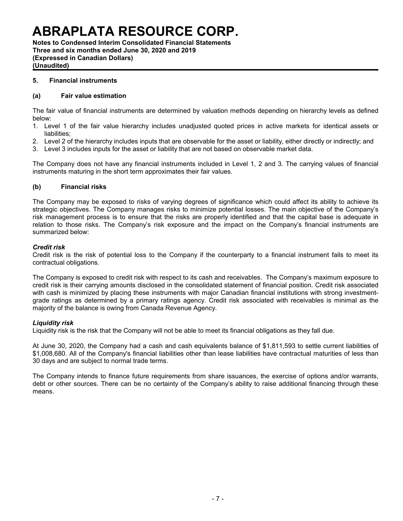**Notes to Condensed Interim Consolidated Financial Statements Three and six months ended June 30, 2020 and 2019 (Expressed in Canadian Dollars) (Unaudited)**

### **5. Financial instruments**

#### **(a) Fair value estimation**

The fair value of financial instruments are determined by valuation methods depending on hierarchy levels as defined below:

- 1. Level 1 of the fair value hierarchy includes unadjusted quoted prices in active markets for identical assets or liabilities;
- 2. Level 2 of the hierarchy includes inputs that are observable for the asset or liability, either directly or indirectly; and
- 3. Level 3 includes inputs for the asset or liability that are not based on observable market data.

The Company does not have any financial instruments included in Level 1, 2 and 3. The carrying values of financial instruments maturing in the short term approximates their fair values.

### **(b) Financial risks**

The Company may be exposed to risks of varying degrees of significance which could affect its ability to achieve its strategic objectives. The Company manages risks to minimize potential losses. The main objective of the Company's risk management process is to ensure that the risks are properly identified and that the capital base is adequate in relation to those risks. The Company's risk exposure and the impact on the Company's financial instruments are summarized below:

#### *Credit risk*

Credit risk is the risk of potential loss to the Company if the counterparty to a financial instrument fails to meet its contractual obligations.

The Company is exposed to credit risk with respect to its cash and receivables. The Company's maximum exposure to credit risk is their carrying amounts disclosed in the consolidated statement of financial position. Credit risk associated with cash is minimized by placing these instruments with major Canadian financial institutions with strong investmentgrade ratings as determined by a primary ratings agency. Credit risk associated with receivables is minimal as the majority of the balance is owing from Canada Revenue Agency.

### *Liquidity risk*

Liquidity risk is the risk that the Company will not be able to meet its financial obligations as they fall due.

At June 30, 2020, the Company had a cash and cash equivalents balance of \$1,811,593 to settle current liabilities of \$1,008,680. All of the Company's financial liabilities other than lease liabilities have contractual maturities of less than 30 days and are subject to normal trade terms.

The Company intends to finance future requirements from share issuances, the exercise of options and/or warrants, debt or other sources. There can be no certainty of the Company's ability to raise additional financing through these means.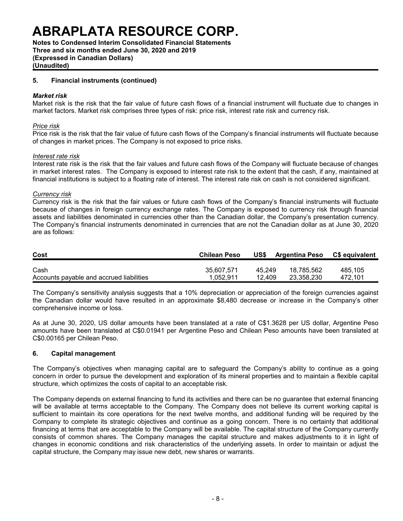**Notes to Condensed Interim Consolidated Financial Statements Three and six months ended June 30, 2020 and 2019 (Expressed in Canadian Dollars)**

**(Unaudited)**

### **5. Financial instruments (continued)**

#### *Market risk*

Market risk is the risk that the fair value of future cash flows of a financial instrument will fluctuate due to changes in market factors. Market risk comprises three types of risk: price risk, interest rate risk and currency risk.

#### *Price risk*

Price risk is the risk that the fair value of future cash flows of the Company's financial instruments will fluctuate because of changes in market prices. The Company is not exposed to price risks.

#### *Interest rate risk*

Interest rate risk is the risk that the fair values and future cash flows of the Company will fluctuate because of changes in market interest rates. The Company is exposed to interest rate risk to the extent that the cash, if any, maintained at financial institutions is subject to a floating rate of interest. The interest rate risk on cash is not considered significant.

### *Currency risk*

Currency risk is the risk that the fair values or future cash flows of the Company's financial instruments will fluctuate because of changes in foreign currency exchange rates. The Company is exposed to currency risk through financial assets and liabilities denominated in currencies other than the Canadian dollar, the Company's presentation currency. The Company's financial instruments denominated in currencies that are not the Canadian dollar as at June 30, 2020 are as follows:

| Cost                                     | <b>Chilean Peso</b> | US\$   | <b>Argentina Peso</b> | <b>C\$</b> equivalent |
|------------------------------------------|---------------------|--------|-----------------------|-----------------------|
| Cash                                     | 35.607.571          | 45.249 | 18.785.562            | 485.105               |
| Accounts payable and accrued liabilities | 1.052.911           | 12.409 | 23.358.230            | 472.101               |

The Company's sensitivity analysis suggests that a 10% depreciation or appreciation of the foreign currencies against the Canadian dollar would have resulted in an approximate \$8,480 decrease or increase in the Company's other comprehensive income or loss.

As at June 30, 2020, US dollar amounts have been translated at a rate of C\$1.3628 per US dollar, Argentine Peso amounts have been translated at C\$0.01941 per Argentine Peso and Chilean Peso amounts have been translated at C\$0.00165 per Chilean Peso.

#### **6. Capital management**

The Company's objectives when managing capital are to safeguard the Company's ability to continue as a going concern in order to pursue the development and exploration of its mineral properties and to maintain a flexible capital structure, which optimizes the costs of capital to an acceptable risk.

The Company depends on external financing to fund its activities and there can be no guarantee that external financing will be available at terms acceptable to the Company. The Company does not believe its current working capital is sufficient to maintain its core operations for the next twelve months, and additional funding will be required by the Company to complete its strategic objectives and continue as a going concern. There is no certainty that additional financing at terms that are acceptable to the Company will be available. The capital structure of the Company currently consists of common shares. The Company manages the capital structure and makes adjustments to it in light of changes in economic conditions and risk characteristics of the underlying assets. In order to maintain or adjust the capital structure, the Company may issue new debt, new shares or warrants.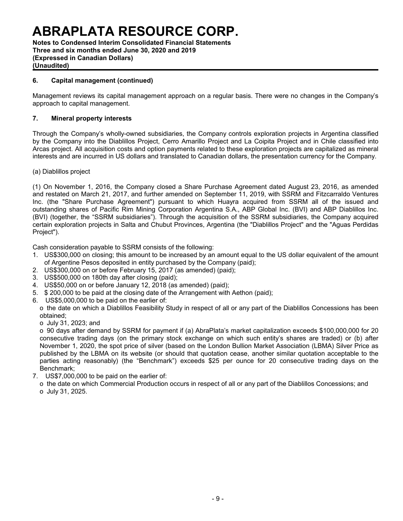**Notes to Condensed Interim Consolidated Financial Statements Three and six months ended June 30, 2020 and 2019 (Expressed in Canadian Dollars) (Unaudited)**

### **6. Capital management (continued)**

Management reviews its capital management approach on a regular basis. There were no changes in the Company's approach to capital management.

### **7. Mineral property interests**

Through the Company's wholly-owned subsidiaries, the Company controls exploration projects in Argentina classified by the Company into the Diablillos Project, Cerro Amarillo Project and La Coipita Project and in Chile classified into Arcas project. All acquisition costs and option payments related to these exploration projects are capitalized as mineral interests and are incurred in US dollars and translated to Canadian dollars, the presentation currency for the Company.

(a) Diablillos project

(1) On November 1, 2016, the Company closed a Share Purchase Agreement dated August 23, 2016, as amended and restated on March 21, 2017, and further amended on September 11, 2019, with SSRM and Fitzcarraldo Ventures Inc. (the "Share Purchase Agreement") pursuant to which Huayra acquired from SSRM all of the issued and outstanding shares of Pacific Rim Mining Corporation Argentina S.A., ABP Global Inc. (BVI) and ABP Diablillos Inc. (BVI) (together, the "SSRM subsidiaries"). Through the acquisition of the SSRM subsidiaries, the Company acquired certain exploration projects in Salta and Chubut Provinces, Argentina (the "Diablillos Project" and the "Aguas Perdidas Project").

Cash consideration payable to SSRM consists of the following:

- 1. US\$300,000 on closing; this amount to be increased by an amount equal to the US dollar equivalent of the amount of Argentine Pesos deposited in entity purchased by the Company (paid);
- 2. US\$300,000 on or before February 15, 2017 (as amended) (paid);
- 3. US\$500,000 on 180th day after closing (paid);
- 4. US\$50,000 on or before January 12, 2018 (as amended) (paid);
- 5. \$ 200,000 to be paid at the closing date of the Arrangement with Aethon (paid);
- 6. US\$5,000,000 to be paid on the earlier of:

o the date on which a Diablillos Feasibility Study in respect of all or any part of the Diablillos Concessions has been obtained;

o July 31, 2023; and

o 90 days after demand by SSRM for payment if (a) AbraPlata's market capitalization exceeds \$100,000,000 for 20 consecutive trading days (on the primary stock exchange on which such entity's shares are traded) or (b) after November 1, 2020, the spot price of silver (based on the London Bullion Market Association (LBMA) Silver Price as published by the LBMA on its website (or should that quotation cease, another similar quotation acceptable to the parties acting reasonably) (the "Benchmark") exceeds \$25 per ounce for 20 consecutive trading days on the Benchmark;

- 7. US\$7,000,000 to be paid on the earlier of:
	- o the date on which Commercial Production occurs in respect of all or any part of the Diablillos Concessions; and o July 31, 2025.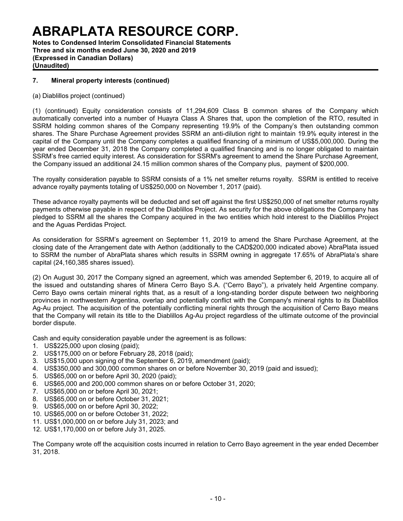**Notes to Condensed Interim Consolidated Financial Statements Three and six months ended June 30, 2020 and 2019 (Expressed in Canadian Dollars) (Unaudited)**

### **7. Mineral property interests (continued)**

(a) Diablillos project (continued)

(1) (continued) Equity consideration consists of 11,294,609 Class B common shares of the Company which automatically converted into a number of Huayra Class A Shares that, upon the completion of the RTO, resulted in SSRM holding common shares of the Company representing 19.9% of the Company's then outstanding common shares. The Share Purchase Agreement provides SSRM an anti-dilution right to maintain 19.9% equity interest in the capital of the Company until the Company completes a qualified financing of a minimum of US\$5,000,000. During the year ended December 31, 2018 the Company completed a qualified financing and is no longer obligated to maintain SSRM's free carried equity interest. As consideration for SSRM's agreement to amend the Share Purchase Agreement, the Company issued an additional 24.15 million common shares of the Company plus, payment of \$200,000.

The royalty consideration payable to SSRM consists of a 1% net smelter returns royalty. SSRM is entitled to receive advance royalty payments totaling of US\$250,000 on November 1, 2017 (paid).

These advance royalty payments will be deducted and set off against the first US\$250,000 of net smelter returns royalty payments otherwise payable in respect of the Diablillos Project. As security for the above obligations the Company has pledged to SSRM all the shares the Company acquired in the two entities which hold interest to the Diablillos Project and the Aguas Perdidas Project.

As consideration for SSRM's agreement on September 11, 2019 to amend the Share Purchase Agreement, at the closing date of the Arrangement date with Aethon (additionally to the CAD\$200,000 indicated above) AbraPlata issued to SSRM the number of AbraPlata shares which results in SSRM owning in aggregate 17.65% of AbraPlata's share capital (24,160,385 shares issued).

(2) On August 30, 2017 the Company signed an agreement, which was amended September 6, 2019, to acquire all of the issued and outstanding shares of Minera Cerro Bayo S.A. ("Cerro Bayo"), a privately held Argentine company. Cerro Bayo owns certain mineral rights that, as a result of a long-standing border dispute between two neighboring provinces in northwestern Argentina, overlap and potentially conflict with the Company's mineral rights to its Diablillos Ag-Au project. The acquisition of the potentially conflicting mineral rights through the acquisition of Cerro Bayo means that the Company will retain its title to the Diablillos Ag-Au project regardless of the ultimate outcome of the provincial border dispute.

Cash and equity consideration payable under the agreement is as follows:

- 1. US\$225,000 upon closing (paid);
- 2. US\$175,000 on or before February 28, 2018 (paid);
- 3. US\$15,000 upon signing of the September 6, 2019, amendment (paid);
- 4. US\$350,000 and 300,000 common shares on or before November 30, 2019 (paid and issued);
- 5. US\$65,000 on or before April 30, 2020 (paid);
- 6. US\$65,000 and 200,000 common shares on or before October 31, 2020;
- 7. US\$65,000 on or before April 30, 2021;
- 8. US\$65,000 on or before October 31, 2021;
- 9. US\$65,000 on or before April 30, 2022;
- 10. US\$65,000 on or before October 31, 2022;
- 11. US\$1,000,000 on or before July 31, 2023; and
- 12. US\$1,170,000 on or before July 31, 2025.

The Company wrote off the acquisition costs incurred in relation to Cerro Bayo agreement in the year ended December 31, 2018.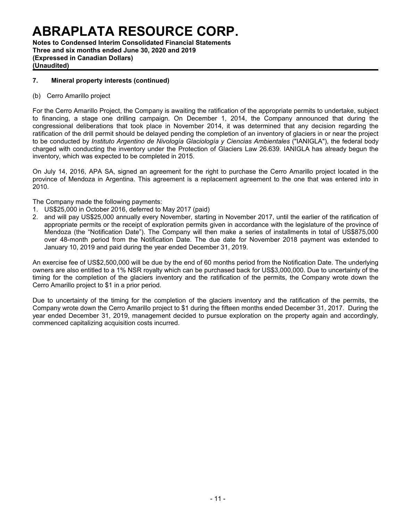**Notes to Condensed Interim Consolidated Financial Statements Three and six months ended June 30, 2020 and 2019 (Expressed in Canadian Dollars) (Unaudited)**

### **7. Mineral property interests (continued)**

### (b) Cerro Amarillo project

For the Cerro Amarillo Project, the Company is awaiting the ratification of the appropriate permits to undertake, subject to financing, a stage one drilling campaign. On December 1, 2014, the Company announced that during the congressional deliberations that took place in November 2014, it was determined that any decision regarding the ratification of the drill permit should be delayed pending the completion of an inventory of glaciers in or near the project to be conducted by *Instituto Argentino de Nivología Glaciología y Ciencias Ambientales* ("IANIGLA"), the federal body charged with conducting the inventory under the Protection of Glaciers Law 26.639. IANIGLA has already begun the inventory, which was expected to be completed in 2015.

On July 14, 2016, APA SA, signed an agreement for the right to purchase the Cerro Amarillo project located in the province of Mendoza in Argentina. This agreement is a replacement agreement to the one that was entered into in 2010.

The Company made the following payments:

- 1. US\$25,000 in October 2016, deferred to May 2017 (paid)
- 2. and will pay US\$25,000 annually every November, starting in November 2017, until the earlier of the ratification of appropriate permits or the receipt of exploration permits given in accordance with the legislature of the province of Mendoza (the "Notification Date"). The Company will then make a series of installments in total of US\$875,000 over 48-month period from the Notification Date. The due date for November 2018 payment was extended to January 10, 2019 and paid during the year ended December 31, 2019.

An exercise fee of US\$2,500,000 will be due by the end of 60 months period from the Notification Date. The underlying owners are also entitled to a 1% NSR royalty which can be purchased back for US\$3,000,000. Due to uncertainty of the timing for the completion of the glaciers inventory and the ratification of the permits, the Company wrote down the Cerro Amarillo project to \$1 in a prior period.

Due to uncertainty of the timing for the completion of the glaciers inventory and the ratification of the permits, the Company wrote down the Cerro Amarillo project to \$1 during the fifteen months ended December 31, 2017. During the year ended December 31, 2019, management decided to pursue exploration on the property again and accordingly, commenced capitalizing acquisition costs incurred.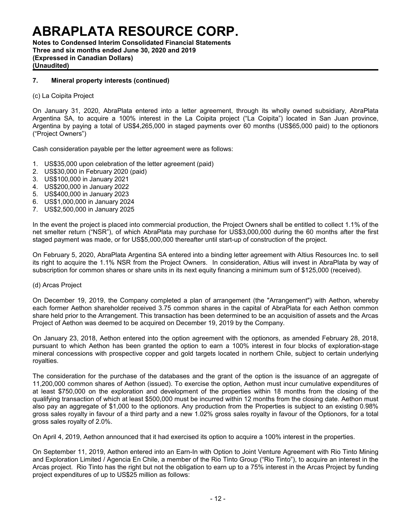**Notes to Condensed Interim Consolidated Financial Statements Three and six months ended June 30, 2020 and 2019 (Expressed in Canadian Dollars) (Unaudited)**

### **7. Mineral property interests (continued)**

(c) La Coipita Project

On January 31, 2020, AbraPlata entered into a letter agreement, through its wholly owned subsidiary, AbraPlata Argentina SA, to acquire a 100% interest in the La Coipita project ("La Coipita") located in San Juan province, Argentina by paying a total of US\$4,265,000 in staged payments over 60 months (US\$65,000 paid) to the optionors ("Project Owners")

Cash consideration payable per the letter agreement were as follows:

- 1. US\$35,000 upon celebration of the letter agreement (paid)
- 2. US\$30,000 in February 2020 (paid)
- 3. US\$100,000 in January 2021
- 4. US\$200,000 in January 2022
- 5. US\$400,000 in January 2023
- 6. US\$1,000,000 in January 2024
- 7. US\$2,500,000 in January 2025

In the event the project is placed into commercial production, the Project Owners shall be entitled to collect 1.1% of the net smelter return ("NSR"), of which AbraPlata may purchase for US\$3,000,000 during the 60 months after the first staged payment was made, or for US\$5,000,000 thereafter until start-up of construction of the project.

On February 5, 2020, AbraPlata Argentina SA entered into a binding letter agreement with Altius Resources Inc. to sell its right to acquire the 1.1% NSR from the Project Owners. In consideration, Altius will invest in AbraPlata by way of subscription for common shares or share units in its next equity financing a minimum sum of \$125,000 (received).

#### (d) Arcas Project

On December 19, 2019, the Company completed a plan of arrangement (the "Arrangement") with Aethon, whereby each former Aethon shareholder received 3.75 common shares in the capital of AbraPlata for each Aethon common share held prior to the Arrangement. This transaction has been determined to be an acquisition of assets and the Arcas Project of Aethon was deemed to be acquired on December 19, 2019 by the Company.

On January 23, 2018, Aethon entered into the option agreement with the optionors, as amended February 28, 2018, pursuant to which Aethon has been granted the option to earn a 100% interest in four blocks of exploration-stage mineral concessions with prospective copper and gold targets located in northern Chile, subject to certain underlying royalties.

The consideration for the purchase of the databases and the grant of the option is the issuance of an aggregate of 11,200,000 common shares of Aethon (issued). To exercise the option, Aethon must incur cumulative expenditures of at least \$750,000 on the exploration and development of the properties within 18 months from the closing of the qualifying transaction of which at least \$500,000 must be incurred within 12 months from the closing date. Aethon must also pay an aggregate of \$1,000 to the optionors. Any production from the Properties is subject to an existing 0.98% gross sales royalty in favour of a third party and a new 1.02% gross sales royalty in favour of the Optionors, for a total gross sales royalty of 2.0%.

On April 4, 2019, Aethon announced that it had exercised its option to acquire a 100% interest in the properties.

On September 11, 2019, Aethon entered into an Earn-In with Option to Joint Venture Agreement with Rio Tinto Mining and Exploration Limited / Agencia En Chile, a member of the Rio Tinto Group ("Rio Tinto"), to acquire an interest in the Arcas project. Rio Tinto has the right but not the obligation to earn up to a 75% interest in the Arcas Project by funding project expenditures of up to US\$25 million as follows: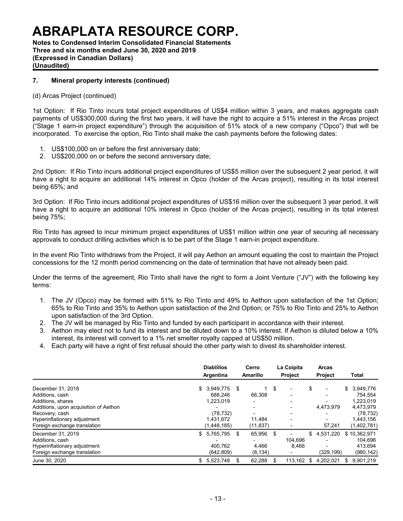**Notes to Condensed Interim Consolidated Financial Statements Three and six months ended June 30, 2020 and 2019 (Expressed in Canadian Dollars) (Unaudited)**

### **7. Mineral property interests (continued)**

#### (d) Arcas Project (continued)

1st Option: If Rio Tinto incurs total project expenditures of US\$4 million within 3 years, and makes aggregate cash payments of US\$300,000 during the first two years, it will have the right to acquire a 51% interest in the Arcas project ("Stage 1 earn-in project expenditure") through the acquisition of 51% stock of a new company ("Opco") that will be incorporated. To exercise the option, Rio Tinto shall make the cash payments before the following dates:

- 1. US\$100,000 on or before the first anniversary date;
- 2. US\$200,000 on or before the second anniversary date;

2nd Option: If Rio Tinto incurs additional project expenditures of US\$5 million over the subsequent 2 year period, it will have a right to acquire an additional 14% interest in Opco (holder of the Arcas project), resulting in its total interest being 65%; and

3rd Option: If Rio Tinto incurs additional project expenditures of US\$16 million over the subsequent 3 year period, it will have a right to acquire an additional 10% interest in Opco (holder of the Arcas project), resulting in its total interest being 75%;

Rio Tinto has agreed to incur minimum project expenditures of US\$1 million within one year of securing all necessary approvals to conduct drilling activities which is to be part of the Stage 1 earn-in project expenditure.

In the event Rio Tinto withdraws from the Project, it will pay Aethon an amount equaling the cost to maintain the Project concessions for the 12 month period commencing on the date of termination that have not already been paid.

Under the terms of the agreement, Rio Tinto shall have the right to form a Joint Venture ("JV") with the following key terms:

- 1. The JV (Opco) may be formed with 51% to Rio Tinto and 49% to Aethon upon satisfaction of the 1st Option; 65% to Rio Tinto and 35% to Aethon upon satisfaction of the 2nd Option; or 75% to Rio Tinto and 25% to Aethon upon satisfaction of the 3rd Option.
- 2. The JV will be managed by Rio Tinto and funded by each participant in accordance with their interest.
- 3. Aethon may elect not to fund its interest and be diluted down to a 10% interest. If Aethon is diluted below a 10% interest, its interest will convert to a 1% net smelter royalty capped at US\$50 million.
- 4. Each party will have a right of first refusal should the other party wish to divest its shareholder interest.

|                                                                                                      | <b>Diablillos</b><br>Argentina                    | Cerro<br><b>Amarillo</b>          |     | La Coipita<br><b>Project</b> | <b>Arcas</b><br><b>Project</b>              |    | <b>Total</b>                                      |
|------------------------------------------------------------------------------------------------------|---------------------------------------------------|-----------------------------------|-----|------------------------------|---------------------------------------------|----|---------------------------------------------------|
| December 31, 2018<br>Additions, cash<br>Additions, shares<br>Additions, upon acquisition of Aethon   | \$ 3.949.775<br>688.246<br>1,223,019<br>(78, 732) | \$<br>66,308                      | \$  | $\overline{\phantom{0}}$     | \$<br>$\overline{\phantom{a}}$<br>4.473.979 |    | \$ 3,949,776<br>754.554<br>1,223,019<br>4,473,979 |
| Recovery, cash<br>Hyperinflationary adjustment<br>Foreign exchange translation                       | 1.431.672<br>(1,448,185)                          | 11.484<br>(11, 837)               |     |                              | 57.241                                      |    | (78, 732)<br>1,443,156<br>(1,402,781)             |
| December 31, 2019<br>Additions, cash<br>Hyperinflationary adjustment<br>Foreign exchange translation | 5,765,795<br>\$<br>400.762<br>(642.809)           | \$<br>65,956<br>4,466<br>(8, 134) | -\$ | 104.696<br>8.466             | \$<br>4,531,220<br>(329,199)                |    | \$10,362,971<br>104,696<br>413,694<br>(980, 142)  |
| June 30, 2020                                                                                        | 5,523,748<br>\$                                   | \$<br>62,288                      | \$  | 113.162                      | \$<br>4.202.021                             | -S | 9.901.219                                         |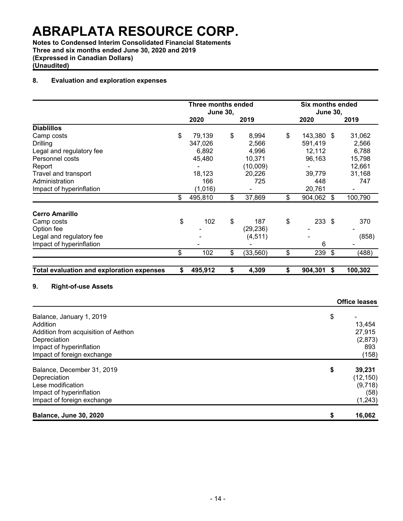**Notes to Condensed Interim Consolidated Financial Statements Three and six months ended June 30, 2020 and 2019 (Expressed in Canadian Dollars) (Unaudited)**

### **8. Evaluation and exploration expenses**

|                                                  | <b>Three months ended</b><br><b>Six months ended</b> |                 |                          |                  |    |                      |
|--------------------------------------------------|------------------------------------------------------|-----------------|--------------------------|------------------|----|----------------------|
|                                                  |                                                      | <b>June 30,</b> |                          | <b>June 30,</b>  |    |                      |
|                                                  | 2020                                                 |                 | 2019                     | 2020             |    | 2019                 |
| <b>Diablillos</b>                                |                                                      |                 |                          |                  |    |                      |
| Camp costs                                       | \$<br>79,139                                         | \$              | 8,994                    | \$<br>143,380 \$ |    | 31,062               |
| <b>Drilling</b>                                  | 347,026                                              |                 | 2,566                    | 591,419          |    | 2,566                |
| Legal and regulatory fee                         | 6,892                                                |                 | 4,996                    | 12,112           |    | 6,788                |
| Personnel costs                                  | 45,480                                               |                 | 10,371                   | 96,163           |    | 15,798               |
| Report                                           |                                                      |                 | (10,009)                 | $\blacksquare$   |    | 12,661               |
| Travel and transport                             | 18,123                                               |                 | 20,226                   | 39,779           |    | 31,168               |
| Administration                                   | 166                                                  |                 | 725                      | 448              |    | 747                  |
| Impact of hyperinflation                         | (1,016)                                              |                 | $\overline{\phantom{0}}$ | 20,761           |    |                      |
|                                                  | \$<br>495,810                                        | \$              | 37,869                   | \$<br>904,062 \$ |    | 100,790              |
| <b>Cerro Amarillo</b>                            |                                                      |                 |                          |                  |    |                      |
| Camp costs                                       | \$<br>102                                            | \$              | 187                      | \$<br>233        | \$ | 370                  |
| Option fee                                       |                                                      |                 | (29, 236)                |                  |    |                      |
| Legal and regulatory fee                         |                                                      |                 | (4, 511)                 |                  |    | (858)                |
| Impact of hyperinflation                         |                                                      |                 |                          | 6                |    |                      |
|                                                  | \$<br>102                                            | \$              | (33, 560)                | \$<br>239        | \$ | (488)                |
|                                                  |                                                      |                 |                          |                  |    |                      |
| <b>Total evaluation and exploration expenses</b> | \$<br>495,912                                        | \$              | 4,309                    | \$<br>904,301    | \$ | 100,302              |
|                                                  |                                                      |                 |                          |                  |    |                      |
| 9.<br><b>Right-of-use Assets</b>                 |                                                      |                 |                          |                  |    |                      |
|                                                  |                                                      |                 |                          |                  |    | <b>Office leases</b> |
| Balance, January 1, 2019                         |                                                      |                 |                          |                  | \$ |                      |
| Addition                                         |                                                      |                 |                          |                  |    | 13,454               |
| Addition from acquisition of Aethon              |                                                      |                 |                          |                  |    | 27,915               |
| Depreciation                                     |                                                      |                 |                          |                  |    | (2,873)              |
| Impact of hyperinflation                         |                                                      |                 |                          |                  |    | 893                  |
| Impact of foreign exchange                       |                                                      |                 |                          |                  |    | (158)                |
|                                                  |                                                      |                 |                          |                  |    |                      |
| Balance, December 31, 2019                       |                                                      |                 |                          |                  | \$ | 39,231               |
| Depreciation                                     |                                                      |                 |                          |                  |    | (12, 150)            |
| Lese modification                                |                                                      |                 |                          |                  |    | (9,718)              |
| Impact of hyperinflation                         |                                                      |                 |                          |                  |    | (58)                 |
| Impact of foreign exchange                       |                                                      |                 |                          |                  |    | (1,243)              |
|                                                  |                                                      |                 |                          |                  |    |                      |

**Balance, June 30, 2020 \$ 16,062**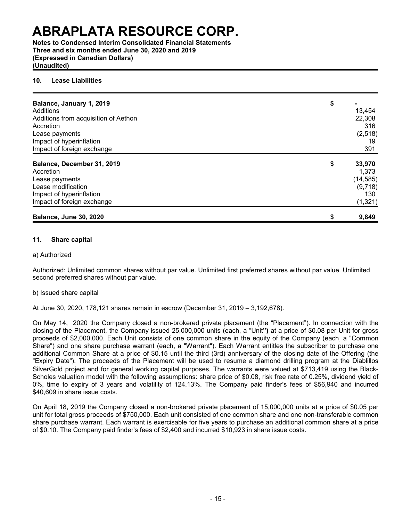**Notes to Condensed Interim Consolidated Financial Statements Three and six months ended June 30, 2020 and 2019 (Expressed in Canadian Dollars) (Unaudited)**

### **10. Lease Liabilities**

| Balance, January 1, 2019             | \$ |           |
|--------------------------------------|----|-----------|
| Additions                            |    | 13,454    |
| Additions from acquisition of Aethon |    | 22,308    |
| Accretion                            |    | 316       |
|                                      |    |           |
| Lease payments                       |    | (2, 518)  |
| Impact of hyperinflation             |    | 19        |
| Impact of foreign exchange           |    | 391       |
| Balance, December 31, 2019           | \$ | 33,970    |
| Accretion                            |    | 1,373     |
| Lease payments                       |    | (14, 585) |
| Lease modification                   |    | (9,718)   |
| Impact of hyperinflation             |    | 130       |
| Impact of foreign exchange           |    | (1, 321)  |
| <b>Balance, June 30, 2020</b>        | S  | 9,849     |

#### **11. Share capital**

### a) Authorized

Authorized: Unlimited common shares without par value. Unlimited first preferred shares without par value. Unlimited second preferred shares without par value.

#### b) Issued share capital

At June 30, 2020, 178,121 shares remain in escrow (December 31, 2019 – 3,192,678).

On May 14, 2020 the Company closed a non-brokered private placement (the "Placement"). In connection with the closing of the Placement, the Company issued 25,000,000 units (each, a "Unit**")** at a price of \$0.08 per Unit for gross proceeds of \$2,000,000. Each Unit consists of one common share in the equity of the Company (each, a "Common Share") and one share purchase warrant (each, a "Warrant"). Each Warrant entitles the subscriber to purchase one additional Common Share at a price of \$0.15 until the third (3rd) anniversary of the closing date of the Offering (the "Expiry Date"). The proceeds of the Placement will be used to resume a diamond drilling program at the Diablillos SilverGold project and for general working capital purposes. The warrants were valued at \$713,419 using the Black-Scholes valuation model with the following assumptions: share price of \$0.08, risk free rate of 0.25%, dividend yield of 0%, time to expiry of 3 years and volatility of 124.13%. The Company paid finder's fees of \$56,940 and incurred \$40,609 in share issue costs.

On April 18, 2019 the Company closed a non-brokered private placement of 15,000,000 units at a price of \$0.05 per unit for total gross proceeds of \$750,000. Each unit consisted of one common share and one non-transferable common share purchase warrant. Each warrant is exercisable for five years to purchase an additional common share at a price of \$0.10. The Company paid finder's fees of \$2,400 and incurred \$10,923 in share issue costs.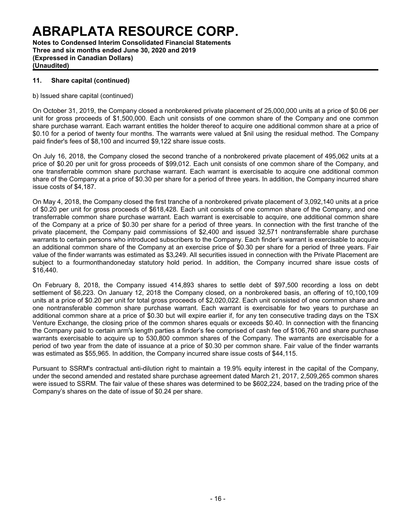**Notes to Condensed Interim Consolidated Financial Statements Three and six months ended June 30, 2020 and 2019 (Expressed in Canadian Dollars) (Unaudited)**

### **11. Share capital (continued)**

b) Issued share capital (continued)

On October 31, 2019, the Company closed a nonbrokered private placement of 25,000,000 units at a price of \$0.06 per unit for gross proceeds of \$1,500,000. Each unit consists of one common share of the Company and one common share purchase warrant. Each warrant entitles the holder thereof to acquire one additional common share at a price of \$0.10 for a period of twenty four months. The warrants were valued at \$nil using the residual method. The Company paid finder's fees of \$8,100 and incurred \$9,122 share issue costs.

On July 16, 2018, the Company closed the second tranche of a nonbrokered private placement of 495,062 units at a price of \$0.20 per unit for gross proceeds of \$99,012. Each unit consists of one common share of the Company, and one transferrable common share purchase warrant. Each warrant is exercisable to acquire one additional common share of the Company at a price of \$0.30 per share for a period of three years. In addition, the Company incurred share issue costs of \$4,187.

On May 4, 2018, the Company closed the first tranche of a nonbrokered private placement of 3,092,140 units at a price of \$0.20 per unit for gross proceeds of \$618,428. Each unit consists of one common share of the Company, and one transferrable common share purchase warrant. Each warrant is exercisable to acquire, one additional common share of the Company at a price of \$0.30 per share for a period of three years. In connection with the first tranche of the private placement, the Company paid commissions of \$2,400 and issued 32,571 nontransferrable share purchase warrants to certain persons who introduced subscribers to the Company. Each finder's warrant is exercisable to acquire an additional common share of the Company at an exercise price of \$0.30 per share for a period of three years. Fair value of the finder warrants was estimated as \$3,249. All securities issued in connection with the Private Placement are subject to a fourmonthandoneday statutory hold period. In addition, the Company incurred share issue costs of \$16,440.

On February 8, 2018, the Company issued 414,893 shares to settle debt of \$97,500 recording a loss on debt settlement of \$6,223. On January 12, 2018 the Company closed, on a nonbrokered basis, an offering of 10,100,109 units at a price of \$0.20 per unit for total gross proceeds of \$2,020,022. Each unit consisted of one common share and one nontransferable common share purchase warrant. Each warrant is exercisable for two years to purchase an additional common share at a price of \$0.30 but will expire earlier if, for any ten consecutive trading days on the TSX Venture Exchange, the closing price of the common shares equals or exceeds \$0.40. In connection with the financing the Company paid to certain arm's length parties a finder's fee comprised of cash fee of \$106,760 and share purchase warrants exercisable to acquire up to 530,800 common shares of the Company. The warrants are exercisable for a period of two year from the date of issuance at a price of \$0.30 per common share. Fair value of the finder warrants was estimated as \$55,965. In addition, the Company incurred share issue costs of \$44,115.

Pursuant to SSRM's contractual anti-dilution right to maintain a 19.9% equity interest in the capital of the Company, under the second amended and restated share purchase agreement dated March 21, 2017, 2,509,265 common shares were issued to SSRM. The fair value of these shares was determined to be \$602,224, based on the trading price of the Company's shares on the date of issue of \$0.24 per share.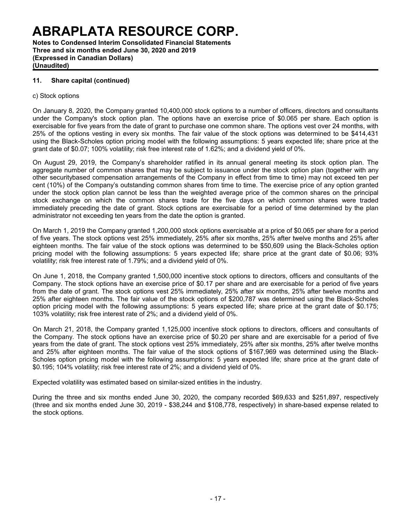**Notes to Condensed Interim Consolidated Financial Statements Three and six months ended June 30, 2020 and 2019 (Expressed in Canadian Dollars) (Unaudited)**

### **11. Share capital (continued)**

#### c) Stock options

On January 8, 2020, the Company granted 10,400,000 stock options to a number of officers, directors and consultants under the Company's stock option plan. The options have an exercise price of \$0.065 per share. Each option is exercisable for five years from the date of grant to purchase one common share. The options vest over 24 months, with 25% of the options vesting in every six months. The fair value of the stock options was determined to be \$414,431 using the Black-Scholes option pricing model with the following assumptions: 5 years expected life; share price at the grant date of \$0.07; 100% volatility; risk free interest rate of 1.62%; and a dividend yield of 0%.

On August 29, 2019, the Company's shareholder ratified in its annual general meeting its stock option plan. The aggregate number of common shares that may be subject to issuance under the stock option plan (together with any other securitybased compensation arrangements of the Company in effect from time to time) may not exceed ten per cent (10%) of the Company's outstanding common shares from time to time. The exercise price of any option granted under the stock option plan cannot be less than the weighted average price of the common shares on the principal stock exchange on which the common shares trade for the five days on which common shares were traded immediately preceding the date of grant. Stock options are exercisable for a period of time determined by the plan administrator not exceeding ten years from the date the option is granted.

On March 1, 2019 the Company granted 1,200,000 stock options exercisable at a price of \$0.065 per share for a period of five years. The stock options vest 25% immediately, 25% after six months, 25% after twelve months and 25% after eighteen months. The fair value of the stock options was determined to be \$50,609 using the Black-Scholes option pricing model with the following assumptions: 5 years expected life; share price at the grant date of \$0.06; 93% volatility; risk free interest rate of 1.79%; and a dividend yield of 0%.

On June 1, 2018, the Company granted 1,500,000 incentive stock options to directors, officers and consultants of the Company. The stock options have an exercise price of \$0.17 per share and are exercisable for a period of five years from the date of grant. The stock options vest 25% immediately, 25% after six months, 25% after twelve months and 25% after eighteen months. The fair value of the stock options of \$200,787 was determined using the Black-Scholes option pricing model with the following assumptions: 5 years expected life; share price at the grant date of \$0.175; 103% volatility; risk free interest rate of 2%; and a dividend yield of 0%.

On March 21, 2018, the Company granted 1,125,000 incentive stock options to directors, officers and consultants of the Company. The stock options have an exercise price of \$0.20 per share and are exercisable for a period of five years from the date of grant. The stock options vest 25% immediately, 25% after six months, 25% after twelve months and 25% after eighteen months. The fair value of the stock options of \$167,969 was determined using the Black-Scholes option pricing model with the following assumptions: 5 years expected life; share price at the grant date of \$0.195; 104% volatility; risk free interest rate of 2%; and a dividend yield of 0%.

Expected volatility was estimated based on similar-sized entities in the industry.

During the three and six months ended June 30, 2020, the company recorded \$69,633 and \$251,897, respectively (three and six months ended June 30, 2019 - \$38,244 and \$108,778, respectively) in share-based expense related to the stock options.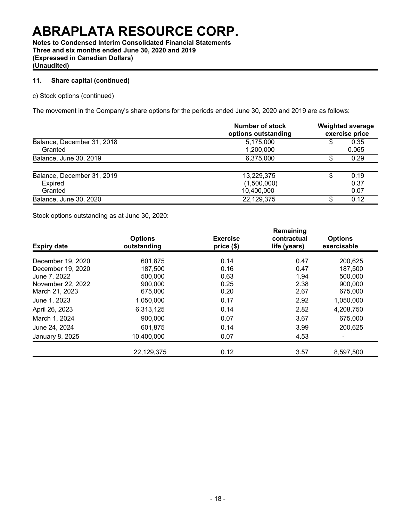**Notes to Condensed Interim Consolidated Financial Statements Three and six months ended June 30, 2020 and 2019 (Expressed in Canadian Dollars) (Unaudited)**

### **11. Share capital (continued)**

c) Stock options (continued)

The movement in the Company's share options for the periods ended June 30, 2020 and 2019 are as follows:

|                                                  | Number of stock<br>options outstanding  | <b>Weighted average</b><br>exercise price |                      |  |
|--------------------------------------------------|-----------------------------------------|-------------------------------------------|----------------------|--|
| Balance, December 31, 2018<br>Granted            | 5,175,000<br>1,200,000                  | \$                                        | 0.35<br>0.065        |  |
| Balance, June 30, 2019                           | 6,375,000                               | S.                                        | 0.29                 |  |
| Balance, December 31, 2019<br>Expired<br>Granted | 13,229,375<br>(1,500,000)<br>10,400,000 |                                           | 0.19<br>0.37<br>0.07 |  |
| Balance, June 30, 2020                           | 22,129,375                              | S                                         | 0.12                 |  |

Stock options outstanding as at June 30, 2020:

| <b>Expiry date</b> | <b>Options</b><br>outstanding | <b>Exercise</b><br>price(\$) | Remaining<br>contractual<br>life (years) | <b>Options</b><br>exercisable |
|--------------------|-------------------------------|------------------------------|------------------------------------------|-------------------------------|
| December 19, 2020  | 601,875                       | 0.14                         | 0.47                                     | 200,625                       |
| December 19, 2020  | 187,500                       | 0.16                         | 0.47                                     | 187,500                       |
| June 7, 2022       | 500.000                       | 0.63                         | 1.94                                     | 500,000                       |
| November 22, 2022  | 900,000                       | 0.25                         | 2.38                                     | 900,000                       |
| March 21, 2023     | 675,000                       | 0.20                         | 2.67                                     | 675,000                       |
| June 1, 2023       | 1.050.000                     | 0.17                         | 2.92                                     | 1,050,000                     |
| April 26, 2023     | 6,313,125                     | 0.14                         | 2.82                                     | 4,208,750                     |
| March 1, 2024      | 900,000                       | 0.07                         | 3.67                                     | 675,000                       |
| June 24, 2024      | 601,875                       | 0.14                         | 3.99                                     | 200,625                       |
| January 8, 2025    | 10,400,000                    | 0.07                         | 4.53                                     |                               |
|                    | 22,129,375                    | 0.12                         | 3.57                                     | 8,597,500                     |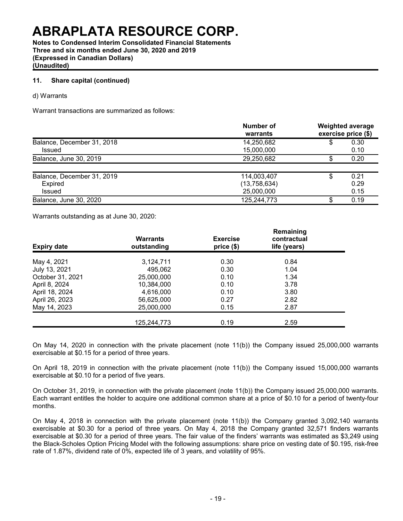**Notes to Condensed Interim Consolidated Financial Statements Three and six months ended June 30, 2020 and 2019 (Expressed in Canadian Dollars) (Unaudited)**

### **11. Share capital (continued)**

d) Warrants

Warrant transactions are summarized as follows:

|                            | Number of<br>warrants |    | <b>Weighted average</b><br>exercise price (\$) |
|----------------------------|-----------------------|----|------------------------------------------------|
| Balance, December 31, 2018 | 14,250,682            | \$ | 0.30                                           |
| Issued                     | 15,000,000            |    | 0.10                                           |
| Balance, June 30, 2019     | 29,250,682            | S  | 0.20                                           |
|                            |                       |    |                                                |
| Balance, December 31, 2019 | 114,003,407           | \$ | 0.21                                           |
| Expired                    | (13,758,634)          |    | 0.29                                           |
| <b>Issued</b>              | 25,000,000            |    | 0.15                                           |
| Balance, June 30, 2020     | 125,244,773           | S  | 0.19                                           |

Warrants outstanding as at June 30, 2020:

| <b>Expiry date</b> | <b>Warrants</b><br>outstanding | <b>Exercise</b><br>price (\$) | Remaining<br>contractual<br>life (years) |  |
|--------------------|--------------------------------|-------------------------------|------------------------------------------|--|
| May 4, 2021        | 3,124,711                      | 0.30                          | 0.84                                     |  |
| July 13, 2021      | 495,062                        | 0.30                          | 1.04                                     |  |
| October 31, 2021   | 25,000,000                     | 0.10                          | 1.34                                     |  |
| April 8, 2024      | 10,384,000                     | 0.10                          | 3.78                                     |  |
| April 18, 2024     | 4.616.000                      | 0.10                          | 3.80                                     |  |
| April 26, 2023     | 56,625,000                     | 0.27                          | 2.82                                     |  |
| May 14, 2023       | 25,000,000                     | 0.15                          | 2.87                                     |  |
|                    | 125,244,773                    | 0.19                          | 2.59                                     |  |

On May 14, 2020 in connection with the private placement (note 11(b)) the Company issued 25,000,000 warrants exercisable at \$0.15 for a period of three years.

On April 18, 2019 in connection with the private placement (note 11(b)) the Company issued 15,000,000 warrants exercisable at \$0.10 for a period of five years.

On October 31, 2019, in connection with the private placement (note 11(b)) the Company issued 25,000,000 warrants. Each warrant entitles the holder to acquire one additional common share at a price of \$0.10 for a period of twenty-four months.

On May 4, 2018 in connection with the private placement (note 11(b)) the Company granted 3,092,140 warrants exercisable at \$0.30 for a period of three years. On May 4, 2018 the Company granted 32,571 finders warrants exercisable at \$0.30 for a period of three years. The fair value of the finders' warrants was estimated as \$3,249 using the Black-Scholes Option Pricing Model with the following assumptions: share price on vesting date of \$0.195, risk-free rate of 1.87%, dividend rate of 0%, expected life of 3 years, and volatility of 95%.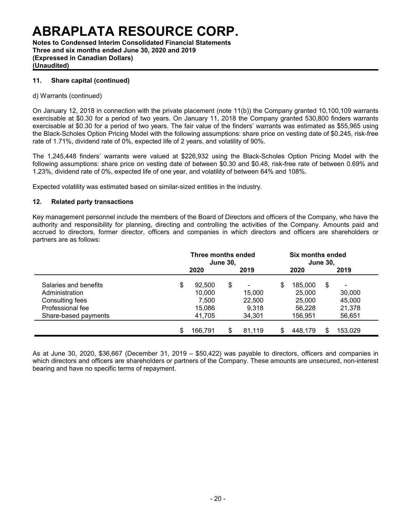**Notes to Condensed Interim Consolidated Financial Statements Three and six months ended June 30, 2020 and 2019 (Expressed in Canadian Dollars) (Unaudited)**

### **11. Share capital (continued)**

#### d) Warrants (continued)

On January 12, 2018 in connection with the private placement (note 11(b)) the Company granted 10,100,109 warrants exercisable at \$0.30 for a period of two years. On January 11, 2018 the Company granted 530,800 finders warrants exercisable at \$0.30 for a period of two years. The fair value of the finders' warrants was estimated as \$55,965 using the Black-Scholes Option Pricing Model with the following assumptions: share price on vesting date of \$0.245, risk-free rate of 1.71%, dividend rate of 0%, expected life of 2 years, and volatility of 90%.

The 1,245,448 finders' warrants were valued at \$226,932 using the Black-Scholes Option Pricing Model with the following assumptions: share price on vesting date of between \$0.30 and \$0.48, risk-free rate of between 0.69% and 1.23%, dividend rate of 0%, expected life of one year, and volatility of between 64% and 108%.

Expected volatility was estimated based on similar-sized entities in the industry.

### **12. Related party transactions**

Key management personnel include the members of the Board of Directors and officers of the Company, who have the authority and responsibility for planning, directing and controlling the activities of the Company. Amounts paid and accrued to directors, former director, officers and companies in which directors and officers are shareholders or partners are as follows:

|                       | Three months ended<br><b>June 30,</b> |    |        |    |         | Six months ended<br><b>June 30,</b> |                |  |  |  |
|-----------------------|---------------------------------------|----|--------|----|---------|-------------------------------------|----------------|--|--|--|
|                       | 2020                                  |    | 2019   |    | 2020    |                                     | 2019           |  |  |  |
| Salaries and benefits | \$<br>92.500                          | \$ |        | \$ | 185,000 | \$                                  | $\blacksquare$ |  |  |  |
| Administration        | 10,000                                |    | 15,000 |    | 25,000  |                                     | 30,000         |  |  |  |
| Consulting fees       | 7.500                                 |    | 22,500 |    | 25,000  |                                     | 45,000         |  |  |  |
| Professional fee      | 15,086                                |    | 9.318  |    | 56.228  |                                     | 21,378         |  |  |  |
| Share-based payments  | 41,705                                |    | 34,301 |    | 156,951 |                                     | 56,651         |  |  |  |
|                       | \$<br>166,791                         | \$ | 81,119 |    | 448.179 |                                     | 153.029        |  |  |  |

As at June 30, 2020, \$36,667 (December 31, 2019 – \$50,422) was payable to directors, officers and companies in which directors and officers are shareholders or partners of the Company. These amounts are unsecured, non-interest bearing and have no specific terms of repayment.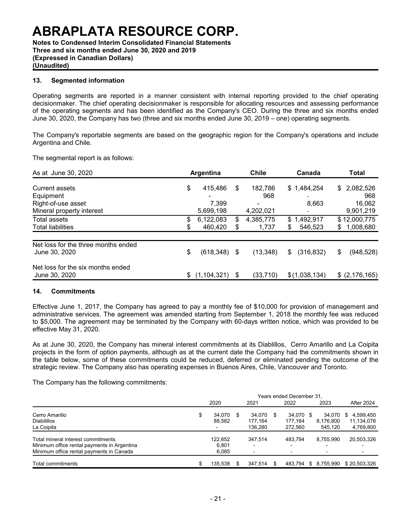**Notes to Condensed Interim Consolidated Financial Statements Three and six months ended June 30, 2020 and 2019 (Expressed in Canadian Dollars) (Unaudited)**

#### **13. Segmented information**

Operating segments are reported in a manner consistent with internal reporting provided to the chief operating decisionmaker. The chief operating decisionmaker is responsible for allocating resources and assessing performance of the operating segments and has been identified as the Company's CEO. During the three and six months ended June 30, 2020, the Company has two (three and six months ended June 30, 2019 – one) operating segments.

The Company's reportable segments are based on the geographic region for the Company's operations and include Argentina and Chile.

The segmental report is as follows:

| As at June 30, 2020                                  | Argentina |               |    | <b>Chile</b> | Canada                   | Total            |  |
|------------------------------------------------------|-----------|---------------|----|--------------|--------------------------|------------------|--|
| <b>Current assets</b>                                | \$        | 415.486       | \$ | 182,786      | \$1,484,254              | 2,082,526<br>\$  |  |
| Equipment                                            |           |               |    | 968          | $\overline{\phantom{0}}$ | 968              |  |
| Right-of-use asset                                   |           | 7,399         |    | ۰            | 8,663                    | 16,062           |  |
| Mineral property interest                            |           | 5,699,198     |    | 4,202,021    | $\overline{\phantom{a}}$ | 9,901,219        |  |
| <b>Total assets</b>                                  | \$        | 6,122,083     | \$ | 4,385,775    | \$1,492,917              | \$12,000,775     |  |
| <b>Total liabilities</b>                             |           | 460,420       | \$ | 1,737        | 546,523<br>S             | 1,008,680<br>\$  |  |
| Net loss for the three months ended<br>June 30, 2020 | \$        | (618,348) \$  |    | (13, 348)    | \$<br>(316, 832)         | \$<br>(948, 528) |  |
| Net loss for the six months ended<br>June 30, 2020   | \$.       | (1, 104, 321) | \$ | (33, 710)    | \$(1,038,134)            | $$$ (2,176,165)  |  |

#### **14. Commitments**

Effective June 1, 2017, the Company has agreed to pay a monthly fee of \$10,000 for provision of management and administrative services. The agreement was amended starting from September 1, 2018 the monthly fee was reduced to \$5,000. The agreement may be terminated by the Company with 60-days written notice, which was provided to be effective May 31, 2020.

As at June 30, 2020, the Company has mineral interest commitments at its Diablillos, Cerro Amarillo and La Coipita projects in the form of option payments, although as at the current date the Company had the commitments shown in the table below, some of these commitments could be reduced, deferred or eliminated pending the outcome of the strategic review. The Company also has operating expenses in Buenos Aires, Chile, Vancouver and Toronto.

The Company has the following commitments:

|                                                                                                                               | Years ended December 31. |                           |   |                              |   |                                 |    |                                                                   |                                            |
|-------------------------------------------------------------------------------------------------------------------------------|--------------------------|---------------------------|---|------------------------------|---|---------------------------------|----|-------------------------------------------------------------------|--------------------------------------------|
|                                                                                                                               |                          | 2020                      |   | 2021                         |   | 2022                            |    | 2023                                                              | After 2024                                 |
| Cerro Amarillo<br><b>Diabilillos</b><br>La Coipita                                                                            | \$                       | 34.070<br>88.582          | S | 34.070<br>177.164<br>136.280 | S | 34.070 \$<br>177.164<br>272.560 |    | 34.070<br>8,176,800<br>545.120                                    | 4,599,450<br>S.<br>11,134,076<br>4,769,800 |
| Total mineral interest commitments<br>Minimum office rental payments in Argentina<br>Minimum office rental payments in Canada |                          | 122.652<br>6.801<br>6.085 |   | 347.514                      |   | 483.794<br>-                    |    | 8.755.990<br>$\overline{\phantom{0}}$<br>$\overline{\phantom{0}}$ | 20,503,326<br>-                            |
| Total commitments                                                                                                             | \$                       | 135.538                   |   | 347.514                      |   | 483.794                         | S. | 8.755.990                                                         | \$20.503.326                               |